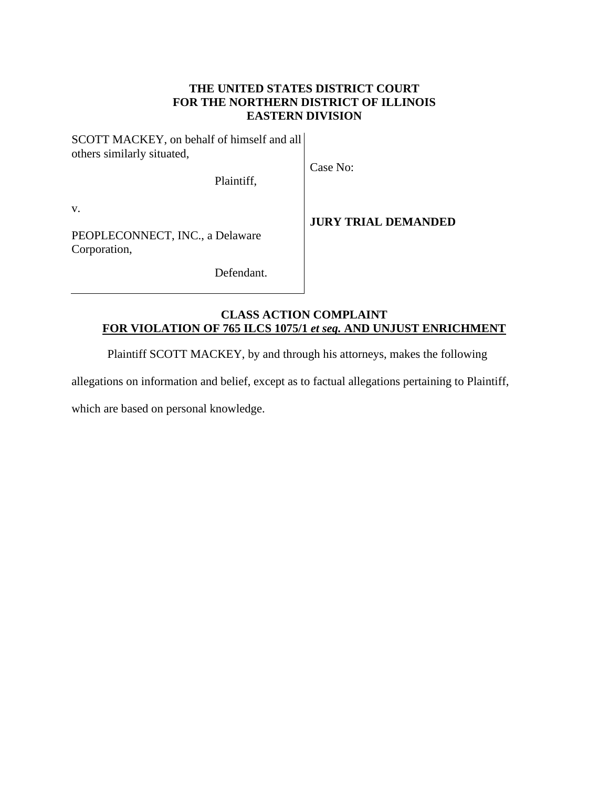# **THE UNITED STATES DISTRICT COURT FOR THE NORTHERN DISTRICT OF ILLINOIS EASTERN DIVISION**

Case No:

SCOTT MACKEY, on behalf of himself and all others similarly situated,

Plaintiff,

v.

**JURY TRIAL DEMANDED**

PEOPLECONNECT, INC., a Delaware Corporation,

Defendant.

## **CLASS ACTION COMPLAINT FOR VIOLATION OF 765 ILCS 1075/1** *et seq.* **AND UNJUST ENRICHMENT**

Plaintiff SCOTT MACKEY, by and through his attorneys, makes the following

allegations on information and belief, except as to factual allegations pertaining to Plaintiff,

which are based on personal knowledge.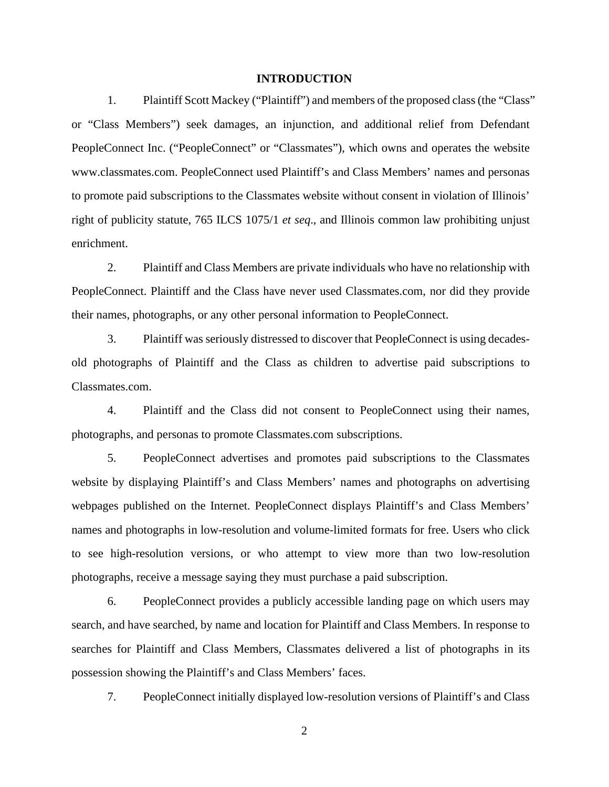#### **INTRODUCTION**

1. Plaintiff Scott Mackey ("Plaintiff") and members of the proposed class (the "Class" or "Class Members") seek damages, an injunction, and additional relief from Defendant PeopleConnect Inc. ("PeopleConnect" or "Classmates"), which owns and operates the website www.classmates.com. PeopleConnect used Plaintiff's and Class Members' names and personas to promote paid subscriptions to the Classmates website without consent in violation of Illinois' right of publicity statute, 765 ILCS 1075/1 *et seq*., and Illinois common law prohibiting unjust enrichment.

2. Plaintiff and Class Members are private individuals who have no relationship with PeopleConnect. Plaintiff and the Class have never used Classmates.com, nor did they provide their names, photographs, or any other personal information to PeopleConnect.

3. Plaintiff was seriously distressed to discover that PeopleConnect is using decadesold photographs of Plaintiff and the Class as children to advertise paid subscriptions to Classmates.com.

4. Plaintiff and the Class did not consent to PeopleConnect using their names, photographs, and personas to promote Classmates.com subscriptions.

5. PeopleConnect advertises and promotes paid subscriptions to the Classmates website by displaying Plaintiff's and Class Members' names and photographs on advertising webpages published on the Internet. PeopleConnect displays Plaintiff's and Class Members' names and photographs in low-resolution and volume-limited formats for free. Users who click to see high-resolution versions, or who attempt to view more than two low-resolution photographs, receive a message saying they must purchase a paid subscription.

6. PeopleConnect provides a publicly accessible landing page on which users may search, and have searched, by name and location for Plaintiff and Class Members. In response to searches for Plaintiff and Class Members, Classmates delivered a list of photographs in its possession showing the Plaintiff's and Class Members' faces.

7. PeopleConnect initially displayed low-resolution versions of Plaintiff's and Class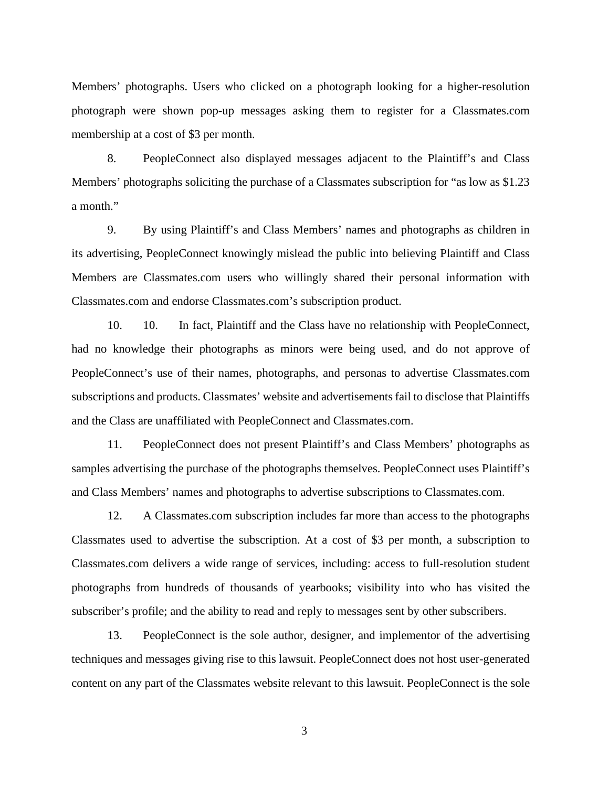Members' photographs. Users who clicked on a photograph looking for a higher-resolution photograph were shown pop-up messages asking them to register for a Classmates.com membership at a cost of \$3 per month.

8. PeopleConnect also displayed messages adjacent to the Plaintiff's and Class Members' photographs soliciting the purchase of a Classmates subscription for "as low as \$1.23 a month."

9. By using Plaintiff's and Class Members' names and photographs as children in its advertising, PeopleConnect knowingly mislead the public into believing Plaintiff and Class Members are Classmates.com users who willingly shared their personal information with Classmates.com and endorse Classmates.com's subscription product.

10. 10. In fact, Plaintiff and the Class have no relationship with PeopleConnect, had no knowledge their photographs as minors were being used, and do not approve of PeopleConnect's use of their names, photographs, and personas to advertise Classmates.com subscriptions and products. Classmates' website and advertisements fail to disclose that Plaintiffs and the Class are unaffiliated with PeopleConnect and Classmates.com.

11. PeopleConnect does not present Plaintiff's and Class Members' photographs as samples advertising the purchase of the photographs themselves. PeopleConnect uses Plaintiff's and Class Members' names and photographs to advertise subscriptions to Classmates.com.

12. A Classmates.com subscription includes far more than access to the photographs Classmates used to advertise the subscription. At a cost of \$3 per month, a subscription to Classmates.com delivers a wide range of services, including: access to full-resolution student photographs from hundreds of thousands of yearbooks; visibility into who has visited the subscriber's profile; and the ability to read and reply to messages sent by other subscribers.

13. PeopleConnect is the sole author, designer, and implementor of the advertising techniques and messages giving rise to this lawsuit. PeopleConnect does not host user-generated content on any part of the Classmates website relevant to this lawsuit. PeopleConnect is the sole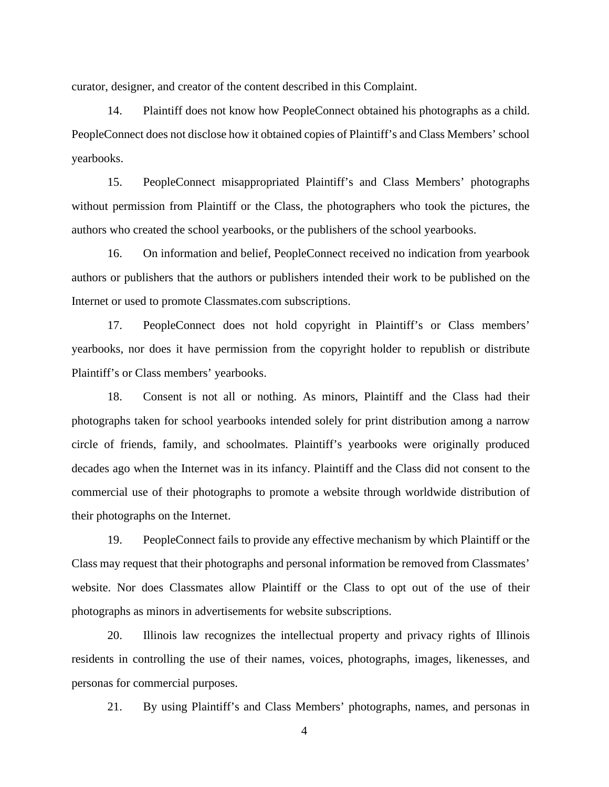curator, designer, and creator of the content described in this Complaint.

14. Plaintiff does not know how PeopleConnect obtained his photographs as a child. PeopleConnect does not disclose how it obtained copies of Plaintiff's and Class Members' school yearbooks.

15. PeopleConnect misappropriated Plaintiff's and Class Members' photographs without permission from Plaintiff or the Class, the photographers who took the pictures, the authors who created the school yearbooks, or the publishers of the school yearbooks.

16. On information and belief, PeopleConnect received no indication from yearbook authors or publishers that the authors or publishers intended their work to be published on the Internet or used to promote Classmates.com subscriptions.

17. PeopleConnect does not hold copyright in Plaintiff's or Class members' yearbooks, nor does it have permission from the copyright holder to republish or distribute Plaintiff's or Class members' yearbooks.

18. Consent is not all or nothing. As minors, Plaintiff and the Class had their photographs taken for school yearbooks intended solely for print distribution among a narrow circle of friends, family, and schoolmates. Plaintiff's yearbooks were originally produced decades ago when the Internet was in its infancy. Plaintiff and the Class did not consent to the commercial use of their photographs to promote a website through worldwide distribution of their photographs on the Internet.

19. PeopleConnect fails to provide any effective mechanism by which Plaintiff or the Class may request that their photographs and personal information be removed from Classmates' website. Nor does Classmates allow Plaintiff or the Class to opt out of the use of their photographs as minors in advertisements for website subscriptions.

20. Illinois law recognizes the intellectual property and privacy rights of Illinois residents in controlling the use of their names, voices, photographs, images, likenesses, and personas for commercial purposes.

21. By using Plaintiff's and Class Members' photographs, names, and personas in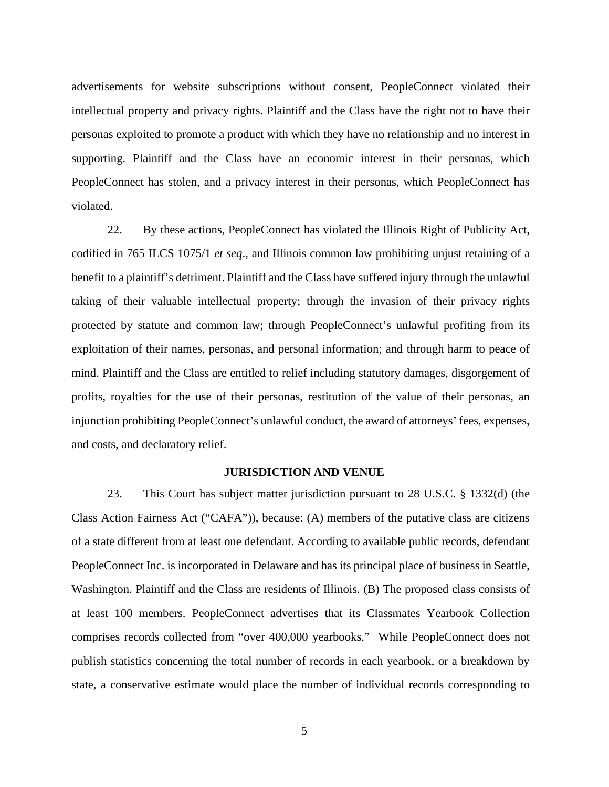advertisements for website subscriptions without consent, PeopleConnect violated their intellectual property and privacy rights. Plaintiff and the Class have the right not to have their personas exploited to promote a product with which they have no relationship and no interest in supporting. Plaintiff and the Class have an economic interest in their personas, which PeopleConnect has stolen, and a privacy interest in their personas, which PeopleConnect has violated.

22. By these actions, PeopleConnect has violated the Illinois Right of Publicity Act, codified in 765 ILCS 1075/1 *et seq*., and Illinois common law prohibiting unjust retaining of a benefit to a plaintiff's detriment. Plaintiff and the Class have suffered injury through the unlawful taking of their valuable intellectual property; through the invasion of their privacy rights protected by statute and common law; through PeopleConnect's unlawful profiting from its exploitation of their names, personas, and personal information; and through harm to peace of mind. Plaintiff and the Class are entitled to relief including statutory damages, disgorgement of profits, royalties for the use of their personas, restitution of the value of their personas, an injunction prohibiting PeopleConnect's unlawful conduct, the award of attorneys' fees, expenses, and costs, and declaratory relief.

#### **JURISDICTION AND VENUE**

23. This Court has subject matter jurisdiction pursuant to 28 U.S.C. § 1332(d) (the Class Action Fairness Act ("CAFA")), because: (A) members of the putative class are citizens of a state different from at least one defendant. According to available public records, defendant PeopleConnect Inc. is incorporated in Delaware and has its principal place of business in Seattle, Washington. Plaintiff and the Class are residents of Illinois. (B) The proposed class consists of at least 100 members. PeopleConnect advertises that its Classmates Yearbook Collection comprises records collected from "over 400,000 yearbooks." While PeopleConnect does not publish statistics concerning the total number of records in each yearbook, or a breakdown by state, a conservative estimate would place the number of individual records corresponding to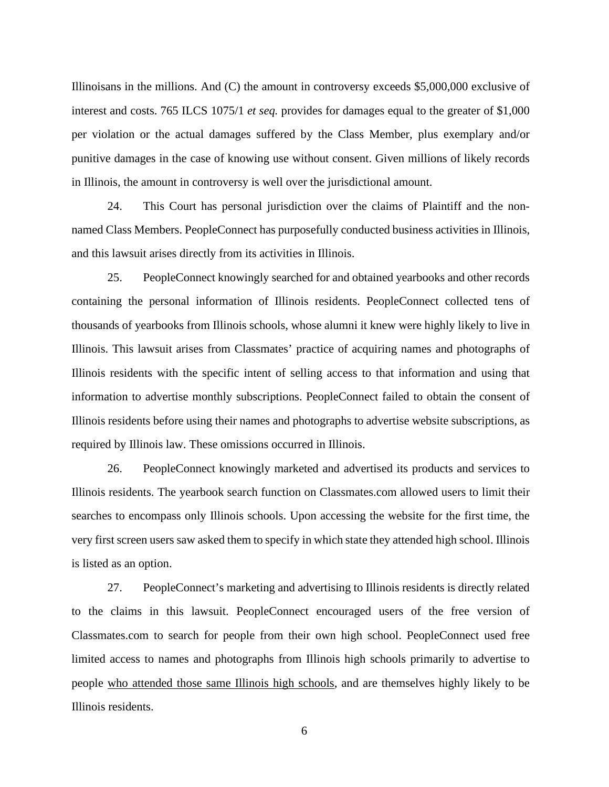Illinoisans in the millions. And (C) the amount in controversy exceeds \$5,000,000 exclusive of interest and costs. 765 ILCS 1075/1 *et seq.* provides for damages equal to the greater of \$1,000 per violation or the actual damages suffered by the Class Member, plus exemplary and/or punitive damages in the case of knowing use without consent. Given millions of likely records in Illinois, the amount in controversy is well over the jurisdictional amount.

24. This Court has personal jurisdiction over the claims of Plaintiff and the nonnamed Class Members. PeopleConnect has purposefully conducted business activities in Illinois, and this lawsuit arises directly from its activities in Illinois.

25. PeopleConnect knowingly searched for and obtained yearbooks and other records containing the personal information of Illinois residents. PeopleConnect collected tens of thousands of yearbooks from Illinois schools, whose alumni it knew were highly likely to live in Illinois. This lawsuit arises from Classmates' practice of acquiring names and photographs of Illinois residents with the specific intent of selling access to that information and using that information to advertise monthly subscriptions. PeopleConnect failed to obtain the consent of Illinois residents before using their names and photographs to advertise website subscriptions, as required by Illinois law. These omissions occurred in Illinois.

26. PeopleConnect knowingly marketed and advertised its products and services to Illinois residents. The yearbook search function on Classmates.com allowed users to limit their searches to encompass only Illinois schools. Upon accessing the website for the first time, the very first screen users saw asked them to specify in which state they attended high school. Illinois is listed as an option.

27. PeopleConnect's marketing and advertising to Illinois residents is directly related to the claims in this lawsuit. PeopleConnect encouraged users of the free version of Classmates.com to search for people from their own high school. PeopleConnect used free limited access to names and photographs from Illinois high schools primarily to advertise to people who attended those same Illinois high schools, and are themselves highly likely to be Illinois residents.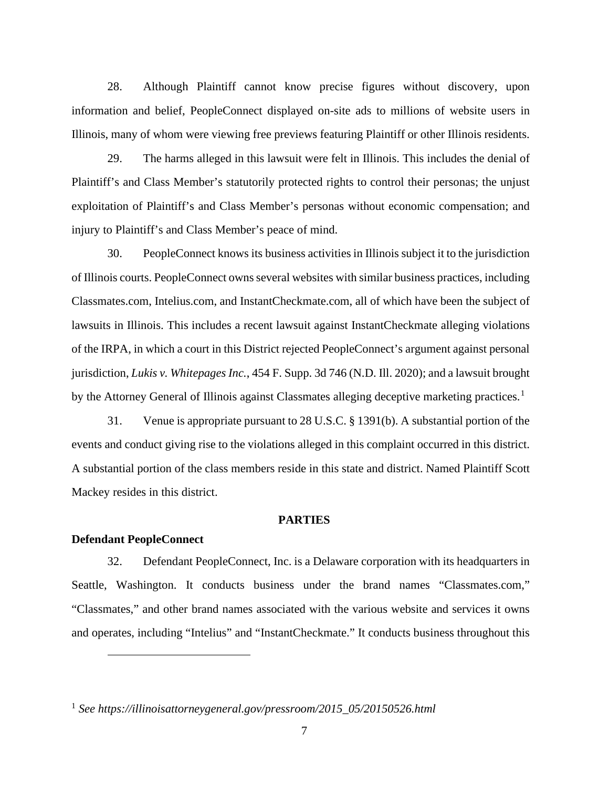28. Although Plaintiff cannot know precise figures without discovery, upon information and belief, PeopleConnect displayed on-site ads to millions of website users in Illinois, many of whom were viewing free previews featuring Plaintiff or other Illinois residents.

29. The harms alleged in this lawsuit were felt in Illinois. This includes the denial of Plaintiff's and Class Member's statutorily protected rights to control their personas; the unjust exploitation of Plaintiff's and Class Member's personas without economic compensation; and injury to Plaintiff's and Class Member's peace of mind.

30. PeopleConnect knows its business activities in Illinois subject it to the jurisdiction of Illinois courts. PeopleConnect owns several websites with similar business practices, including Classmates.com, Intelius.com, and InstantCheckmate.com, all of which have been the subject of lawsuits in Illinois. This includes a recent lawsuit against InstantCheckmate alleging violations of the IRPA, in which a court in this District rejected PeopleConnect's argument against personal jurisdiction, *Lukis v. Whitepages Inc.*, 454 F. Supp. 3d 746 (N.D. Ill. 2020); and a lawsuit brought by the Attorney General of Illinois against Classmates alleging deceptive marketing practices.<sup>1</sup>

31. Venue is appropriate pursuant to 28 U.S.C. § 1391(b). A substantial portion of the events and conduct giving rise to the violations alleged in this complaint occurred in this district. A substantial portion of the class members reside in this state and district. Named Plaintiff Scott Mackey resides in this district.

#### **PARTIES**

#### **Defendant PeopleConnect**

32. Defendant PeopleConnect, Inc. is a Delaware corporation with its headquarters in Seattle, Washington. It conducts business under the brand names "Classmates.com," "Classmates," and other brand names associated with the various website and services it owns and operates, including "Intelius" and "InstantCheckmate." It conducts business throughout this

<sup>1</sup> *See https://illinoisattorneygeneral.gov/pressroom/2015\_05/20150526.html*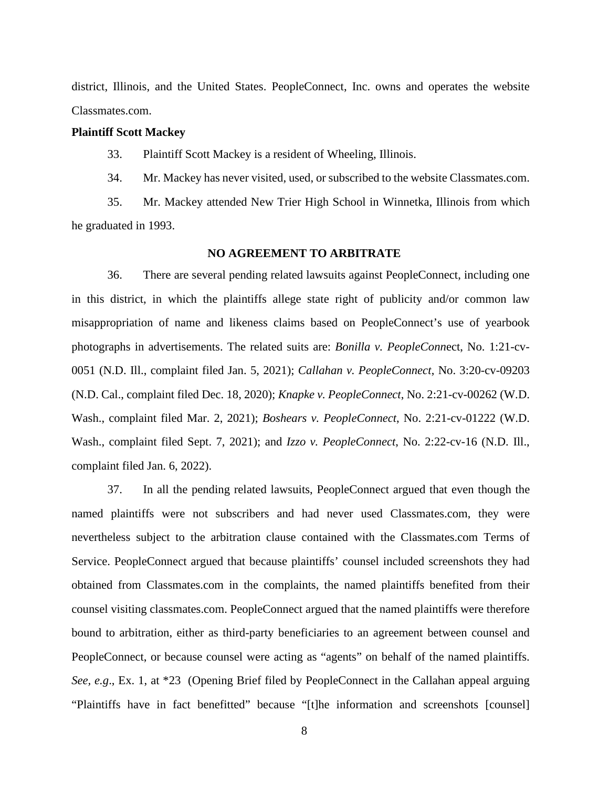district, Illinois, and the United States. PeopleConnect, Inc. owns and operates the website Classmates.com.

#### **Plaintiff Scott Mackey**

33. Plaintiff Scott Mackey is a resident of Wheeling, Illinois.

34. Mr. Mackey has never visited, used, or subscribed to the website Classmates.com.

35. Mr. Mackey attended New Trier High School in Winnetka, Illinois from which he graduated in 1993.

#### **NO AGREEMENT TO ARBITRATE**

36. There are several pending related lawsuits against PeopleConnect, including one in this district, in which the plaintiffs allege state right of publicity and/or common law misappropriation of name and likeness claims based on PeopleConnect's use of yearbook photographs in advertisements. The related suits are: *Bonilla v. PeopleConn*ect, No. 1:21-cv-0051 (N.D. Ill., complaint filed Jan. 5, 2021); *Callahan v. PeopleConnect*, No. 3:20-cv-09203 (N.D. Cal., complaint filed Dec. 18, 2020); *Knapke v. PeopleConnect*, No. 2:21-cv-00262 (W.D. Wash., complaint filed Mar. 2, 2021); *Boshears v. PeopleConnect*, No. 2:21-cv-01222 (W.D. Wash., complaint filed Sept. 7, 2021); and *Izzo v. PeopleConnect*, No. 2:22-cv-16 (N.D. Ill., complaint filed Jan. 6, 2022).

37. In all the pending related lawsuits, PeopleConnect argued that even though the named plaintiffs were not subscribers and had never used Classmates.com, they were nevertheless subject to the arbitration clause contained with the Classmates.com Terms of Service. PeopleConnect argued that because plaintiffs' counsel included screenshots they had obtained from Classmates.com in the complaints, the named plaintiffs benefited from their counsel visiting classmates.com. PeopleConnect argued that the named plaintiffs were therefore bound to arbitration, either as third-party beneficiaries to an agreement between counsel and PeopleConnect, or because counsel were acting as "agents" on behalf of the named plaintiffs. *See, e.g*., Ex. 1, at \*23 (Opening Brief filed by PeopleConnect in the Callahan appeal arguing "Plaintiffs have in fact benefitted" because "[t]he information and screenshots [counsel]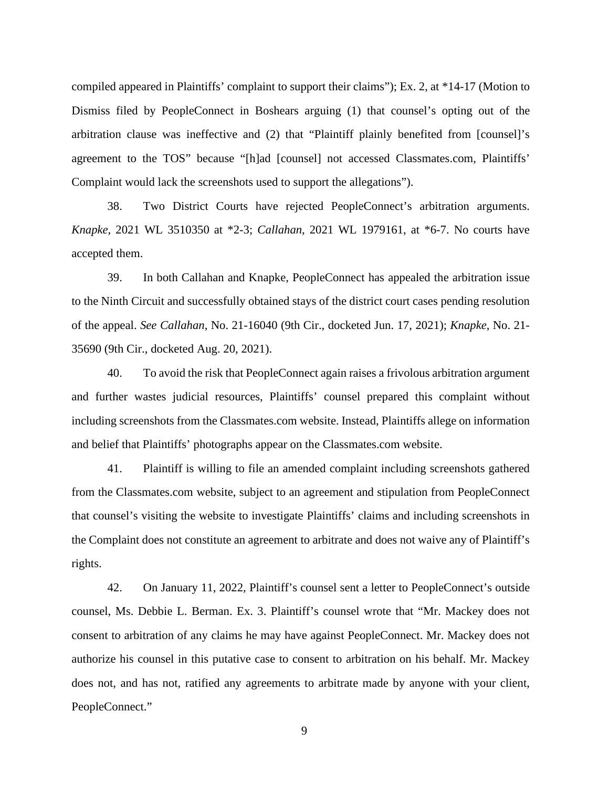compiled appeared in Plaintiffs' complaint to support their claims"); Ex. 2, at \*14-17 (Motion to Dismiss filed by PeopleConnect in Boshears arguing (1) that counsel's opting out of the arbitration clause was ineffective and (2) that "Plaintiff plainly benefited from [counsel]'s agreement to the TOS" because "[h]ad [counsel] not accessed Classmates.com, Plaintiffs' Complaint would lack the screenshots used to support the allegations").

38. Two District Courts have rejected PeopleConnect's arbitration arguments. *Knapke*, 2021 WL 3510350 at \*2-3; *Callahan*, 2021 WL 1979161, at \*6-7. No courts have accepted them.

39. In both Callahan and Knapke, PeopleConnect has appealed the arbitration issue to the Ninth Circuit and successfully obtained stays of the district court cases pending resolution of the appeal. *See Callahan*, No. 21-16040 (9th Cir., docketed Jun. 17, 2021); *Knapke*, No. 21- 35690 (9th Cir., docketed Aug. 20, 2021).

40. To avoid the risk that PeopleConnect again raises a frivolous arbitration argument and further wastes judicial resources, Plaintiffs' counsel prepared this complaint without including screenshots from the Classmates.com website. Instead, Plaintiffs allege on information and belief that Plaintiffs' photographs appear on the Classmates.com website.

41. Plaintiff is willing to file an amended complaint including screenshots gathered from the Classmates.com website, subject to an agreement and stipulation from PeopleConnect that counsel's visiting the website to investigate Plaintiffs' claims and including screenshots in the Complaint does not constitute an agreement to arbitrate and does not waive any of Plaintiff's rights.

42. On January 11, 2022, Plaintiff's counsel sent a letter to PeopleConnect's outside counsel, Ms. Debbie L. Berman. Ex. 3. Plaintiff's counsel wrote that "Mr. Mackey does not consent to arbitration of any claims he may have against PeopleConnect. Mr. Mackey does not authorize his counsel in this putative case to consent to arbitration on his behalf. Mr. Mackey does not, and has not, ratified any agreements to arbitrate made by anyone with your client, PeopleConnect."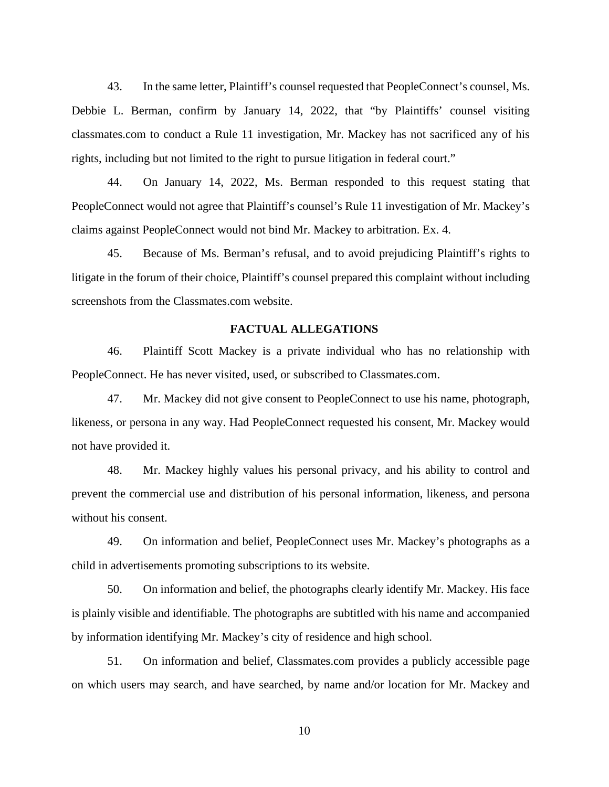43. In the same letter, Plaintiff's counsel requested that PeopleConnect's counsel, Ms. Debbie L. Berman, confirm by January 14, 2022, that "by Plaintiffs' counsel visiting classmates.com to conduct a Rule 11 investigation, Mr. Mackey has not sacrificed any of his rights, including but not limited to the right to pursue litigation in federal court."

44. On January 14, 2022, Ms. Berman responded to this request stating that PeopleConnect would not agree that Plaintiff's counsel's Rule 11 investigation of Mr. Mackey's claims against PeopleConnect would not bind Mr. Mackey to arbitration. Ex. 4.

45. Because of Ms. Berman's refusal, and to avoid prejudicing Plaintiff's rights to litigate in the forum of their choice, Plaintiff's counsel prepared this complaint without including screenshots from the Classmates.com website.

## **FACTUAL ALLEGATIONS**

46. Plaintiff Scott Mackey is a private individual who has no relationship with PeopleConnect. He has never visited, used, or subscribed to Classmates.com.

47. Mr. Mackey did not give consent to PeopleConnect to use his name, photograph, likeness, or persona in any way. Had PeopleConnect requested his consent, Mr. Mackey would not have provided it.

48. Mr. Mackey highly values his personal privacy, and his ability to control and prevent the commercial use and distribution of his personal information, likeness, and persona without his consent.

49. On information and belief, PeopleConnect uses Mr. Mackey's photographs as a child in advertisements promoting subscriptions to its website.

50. On information and belief, the photographs clearly identify Mr. Mackey. His face is plainly visible and identifiable. The photographs are subtitled with his name and accompanied by information identifying Mr. Mackey's city of residence and high school.

51. On information and belief, Classmates.com provides a publicly accessible page on which users may search, and have searched, by name and/or location for Mr. Mackey and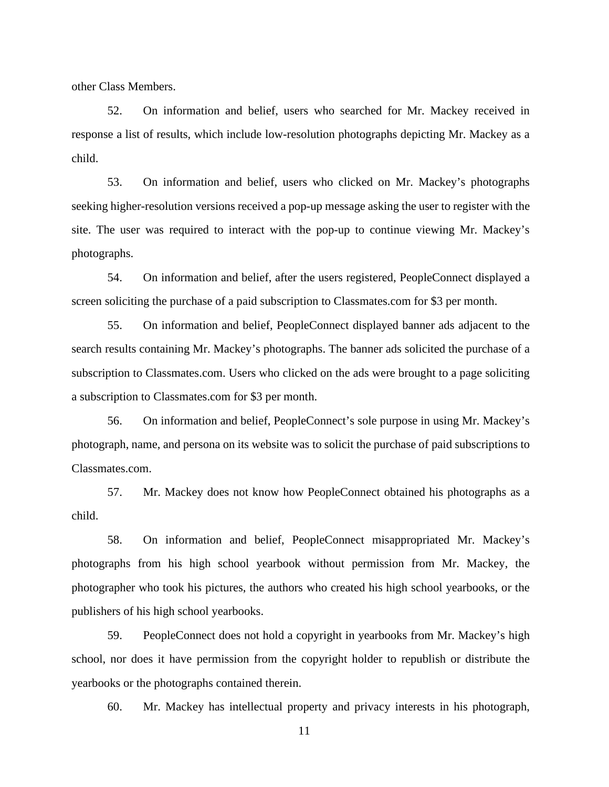other Class Members.

52. On information and belief, users who searched for Mr. Mackey received in response a list of results, which include low-resolution photographs depicting Mr. Mackey as a child.

53. On information and belief, users who clicked on Mr. Mackey's photographs seeking higher-resolution versions received a pop-up message asking the user to register with the site. The user was required to interact with the pop-up to continue viewing Mr. Mackey's photographs.

54. On information and belief, after the users registered, PeopleConnect displayed a screen soliciting the purchase of a paid subscription to Classmates.com for \$3 per month.

55. On information and belief, PeopleConnect displayed banner ads adjacent to the search results containing Mr. Mackey's photographs. The banner ads solicited the purchase of a subscription to Classmates.com. Users who clicked on the ads were brought to a page soliciting a subscription to Classmates.com for \$3 per month.

56. On information and belief, PeopleConnect's sole purpose in using Mr. Mackey's photograph, name, and persona on its website was to solicit the purchase of paid subscriptions to Classmates.com.

57. Mr. Mackey does not know how PeopleConnect obtained his photographs as a child.

58. On information and belief, PeopleConnect misappropriated Mr. Mackey's photographs from his high school yearbook without permission from Mr. Mackey, the photographer who took his pictures, the authors who created his high school yearbooks, or the publishers of his high school yearbooks.

59. PeopleConnect does not hold a copyright in yearbooks from Mr. Mackey's high school, nor does it have permission from the copyright holder to republish or distribute the yearbooks or the photographs contained therein.

60. Mr. Mackey has intellectual property and privacy interests in his photograph,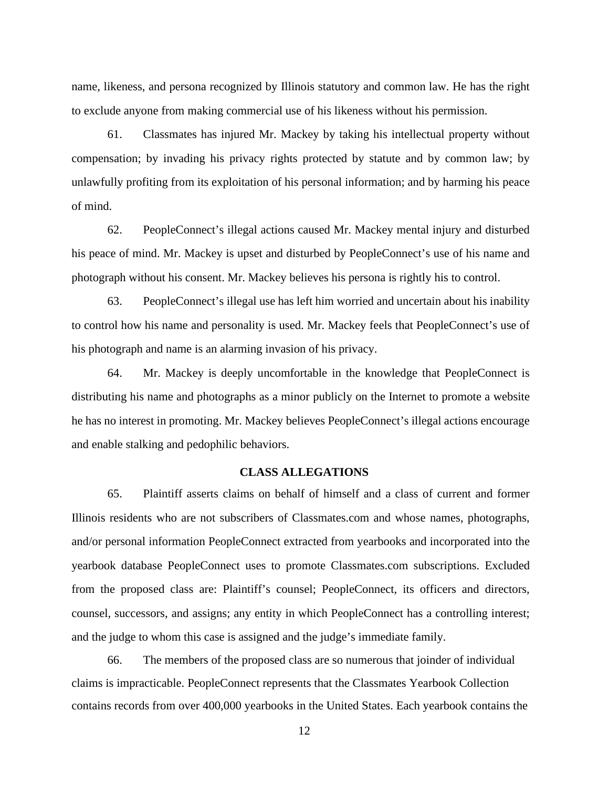name, likeness, and persona recognized by Illinois statutory and common law. He has the right to exclude anyone from making commercial use of his likeness without his permission.

61. Classmates has injured Mr. Mackey by taking his intellectual property without compensation; by invading his privacy rights protected by statute and by common law; by unlawfully profiting from its exploitation of his personal information; and by harming his peace of mind.

62. PeopleConnect's illegal actions caused Mr. Mackey mental injury and disturbed his peace of mind. Mr. Mackey is upset and disturbed by PeopleConnect's use of his name and photograph without his consent. Mr. Mackey believes his persona is rightly his to control.

63. PeopleConnect's illegal use has left him worried and uncertain about his inability to control how his name and personality is used. Mr. Mackey feels that PeopleConnect's use of his photograph and name is an alarming invasion of his privacy.

64. Mr. Mackey is deeply uncomfortable in the knowledge that PeopleConnect is distributing his name and photographs as a minor publicly on the Internet to promote a website he has no interest in promoting. Mr. Mackey believes PeopleConnect's illegal actions encourage and enable stalking and pedophilic behaviors.

#### **CLASS ALLEGATIONS**

65. Plaintiff asserts claims on behalf of himself and a class of current and former Illinois residents who are not subscribers of Classmates.com and whose names, photographs, and/or personal information PeopleConnect extracted from yearbooks and incorporated into the yearbook database PeopleConnect uses to promote Classmates.com subscriptions. Excluded from the proposed class are: Plaintiff's counsel; PeopleConnect, its officers and directors, counsel, successors, and assigns; any entity in which PeopleConnect has a controlling interest; and the judge to whom this case is assigned and the judge's immediate family.

66. The members of the proposed class are so numerous that joinder of individual claims is impracticable. PeopleConnect represents that the Classmates Yearbook Collection contains records from over 400,000 yearbooks in the United States. Each yearbook contains the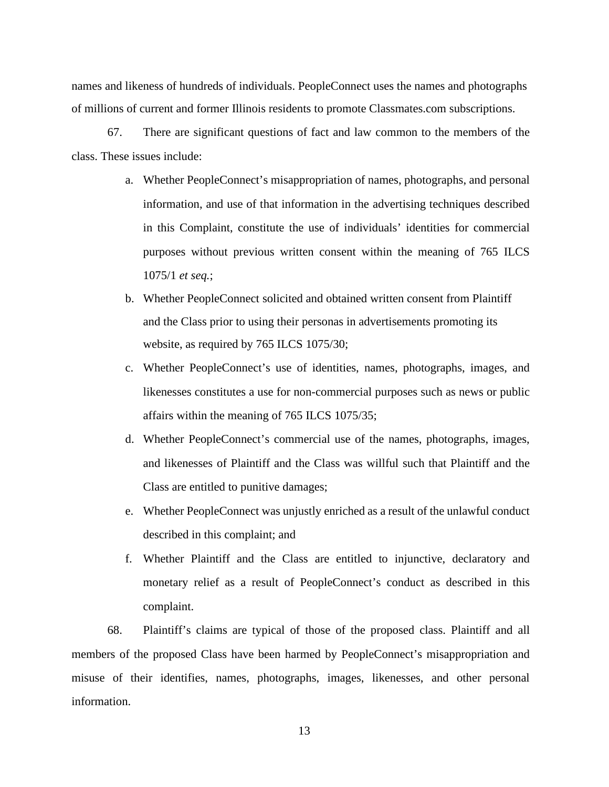names and likeness of hundreds of individuals. PeopleConnect uses the names and photographs of millions of current and former Illinois residents to promote Classmates.com subscriptions.

67. There are significant questions of fact and law common to the members of the class. These issues include:

- a. Whether PeopleConnect's misappropriation of names, photographs, and personal information, and use of that information in the advertising techniques described in this Complaint, constitute the use of individuals' identities for commercial purposes without previous written consent within the meaning of 765 ILCS 1075/1 *et seq.*;
- b. Whether PeopleConnect solicited and obtained written consent from Plaintiff and the Class prior to using their personas in advertisements promoting its website, as required by 765 ILCS 1075/30;
- c. Whether PeopleConnect's use of identities, names, photographs, images, and likenesses constitutes a use for non-commercial purposes such as news or public affairs within the meaning of 765 ILCS 1075/35;
- d. Whether PeopleConnect's commercial use of the names, photographs, images, and likenesses of Plaintiff and the Class was willful such that Plaintiff and the Class are entitled to punitive damages;
- e. Whether PeopleConnect was unjustly enriched as a result of the unlawful conduct described in this complaint; and
- f. Whether Plaintiff and the Class are entitled to injunctive, declaratory and monetary relief as a result of PeopleConnect's conduct as described in this complaint.

68. Plaintiff's claims are typical of those of the proposed class. Plaintiff and all members of the proposed Class have been harmed by PeopleConnect's misappropriation and misuse of their identifies, names, photographs, images, likenesses, and other personal information.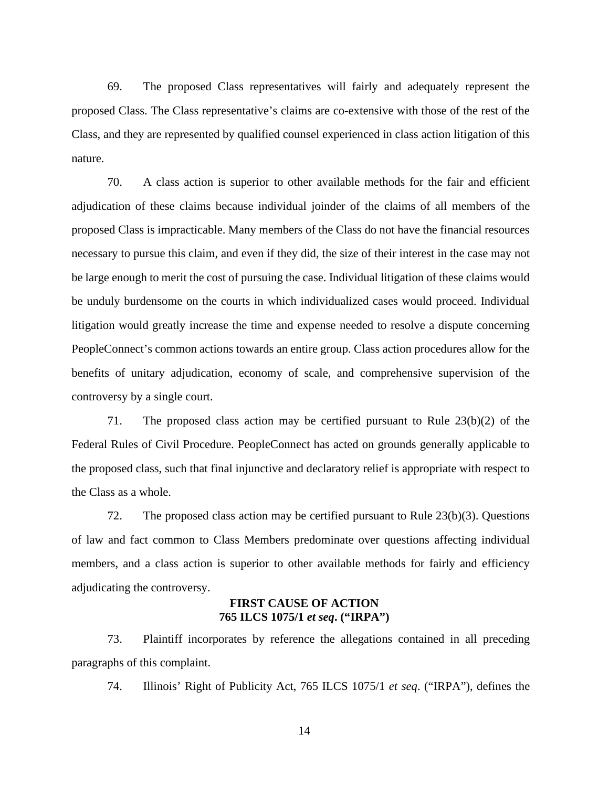69. The proposed Class representatives will fairly and adequately represent the proposed Class. The Class representative's claims are co-extensive with those of the rest of the Class, and they are represented by qualified counsel experienced in class action litigation of this nature.

70. A class action is superior to other available methods for the fair and efficient adjudication of these claims because individual joinder of the claims of all members of the proposed Class is impracticable. Many members of the Class do not have the financial resources necessary to pursue this claim, and even if they did, the size of their interest in the case may not be large enough to merit the cost of pursuing the case. Individual litigation of these claims would be unduly burdensome on the courts in which individualized cases would proceed. Individual litigation would greatly increase the time and expense needed to resolve a dispute concerning PeopleConnect's common actions towards an entire group. Class action procedures allow for the benefits of unitary adjudication, economy of scale, and comprehensive supervision of the controversy by a single court.

71. The proposed class action may be certified pursuant to Rule 23(b)(2) of the Federal Rules of Civil Procedure. PeopleConnect has acted on grounds generally applicable to the proposed class, such that final injunctive and declaratory relief is appropriate with respect to the Class as a whole.

72. The proposed class action may be certified pursuant to Rule 23(b)(3). Questions of law and fact common to Class Members predominate over questions affecting individual members, and a class action is superior to other available methods for fairly and efficiency adjudicating the controversy.

## **FIRST CAUSE OF ACTION 765 ILCS 1075/1** *et seq***. ("IRPA")**

73. Plaintiff incorporates by reference the allegations contained in all preceding paragraphs of this complaint.

74. Illinois' Right of Publicity Act, 765 ILCS 1075/1 *et seq*. ("IRPA"), defines the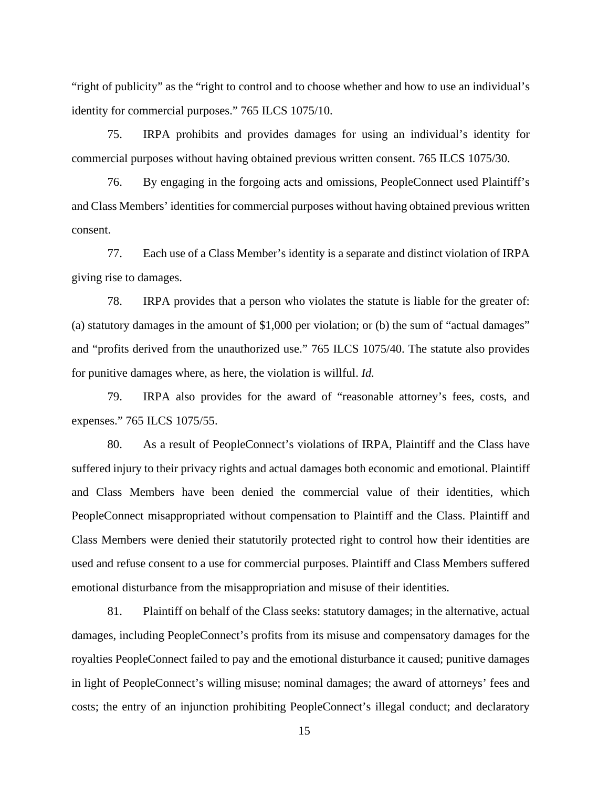"right of publicity" as the "right to control and to choose whether and how to use an individual's identity for commercial purposes." 765 ILCS 1075/10.

75. IRPA prohibits and provides damages for using an individual's identity for commercial purposes without having obtained previous written consent. 765 ILCS 1075/30.

76. By engaging in the forgoing acts and omissions, PeopleConnect used Plaintiff's and Class Members' identities for commercial purposes without having obtained previous written consent.

77. Each use of a Class Member's identity is a separate and distinct violation of IRPA giving rise to damages.

78. IRPA provides that a person who violates the statute is liable for the greater of: (a) statutory damages in the amount of \$1,000 per violation; or (b) the sum of "actual damages" and "profits derived from the unauthorized use." 765 ILCS 1075/40. The statute also provides for punitive damages where, as here, the violation is willful. *Id.*

79. IRPA also provides for the award of "reasonable attorney's fees, costs, and expenses." 765 ILCS 1075/55.

80. As a result of PeopleConnect's violations of IRPA, Plaintiff and the Class have suffered injury to their privacy rights and actual damages both economic and emotional. Plaintiff and Class Members have been denied the commercial value of their identities, which PeopleConnect misappropriated without compensation to Plaintiff and the Class. Plaintiff and Class Members were denied their statutorily protected right to control how their identities are used and refuse consent to a use for commercial purposes. Plaintiff and Class Members suffered emotional disturbance from the misappropriation and misuse of their identities.

81. Plaintiff on behalf of the Class seeks: statutory damages; in the alternative, actual damages, including PeopleConnect's profits from its misuse and compensatory damages for the royalties PeopleConnect failed to pay and the emotional disturbance it caused; punitive damages in light of PeopleConnect's willing misuse; nominal damages; the award of attorneys' fees and costs; the entry of an injunction prohibiting PeopleConnect's illegal conduct; and declaratory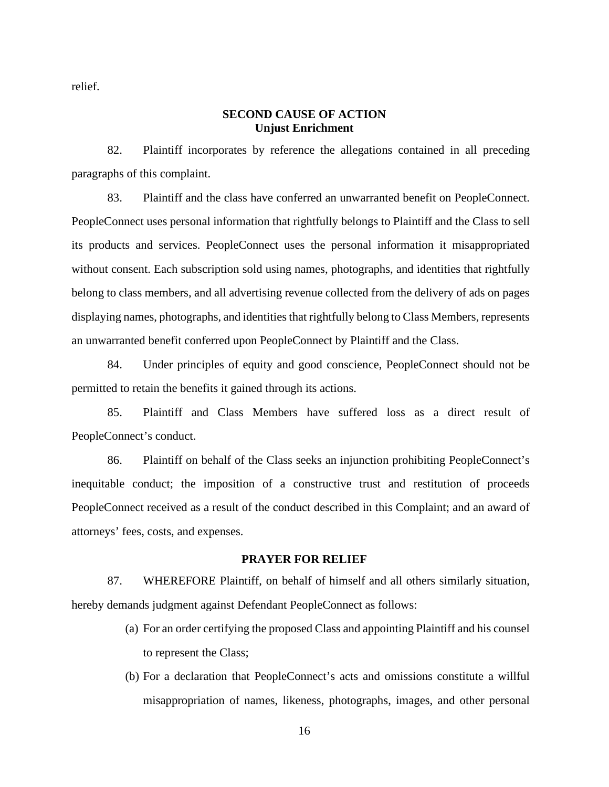relief.

## **SECOND CAUSE OF ACTION Unjust Enrichment**

82. Plaintiff incorporates by reference the allegations contained in all preceding paragraphs of this complaint.

83. Plaintiff and the class have conferred an unwarranted benefit on PeopleConnect. PeopleConnect uses personal information that rightfully belongs to Plaintiff and the Class to sell its products and services. PeopleConnect uses the personal information it misappropriated without consent. Each subscription sold using names, photographs, and identities that rightfully belong to class members, and all advertising revenue collected from the delivery of ads on pages displaying names, photographs, and identities that rightfully belong to Class Members, represents an unwarranted benefit conferred upon PeopleConnect by Plaintiff and the Class.

84. Under principles of equity and good conscience, PeopleConnect should not be permitted to retain the benefits it gained through its actions.

85. Plaintiff and Class Members have suffered loss as a direct result of PeopleConnect's conduct.

86. Plaintiff on behalf of the Class seeks an injunction prohibiting PeopleConnect's inequitable conduct; the imposition of a constructive trust and restitution of proceeds PeopleConnect received as a result of the conduct described in this Complaint; and an award of attorneys' fees, costs, and expenses.

#### **PRAYER FOR RELIEF**

87. WHEREFORE Plaintiff, on behalf of himself and all others similarly situation, hereby demands judgment against Defendant PeopleConnect as follows:

- (a) For an order certifying the proposed Class and appointing Plaintiff and his counsel to represent the Class;
- (b) For a declaration that PeopleConnect's acts and omissions constitute a willful misappropriation of names, likeness, photographs, images, and other personal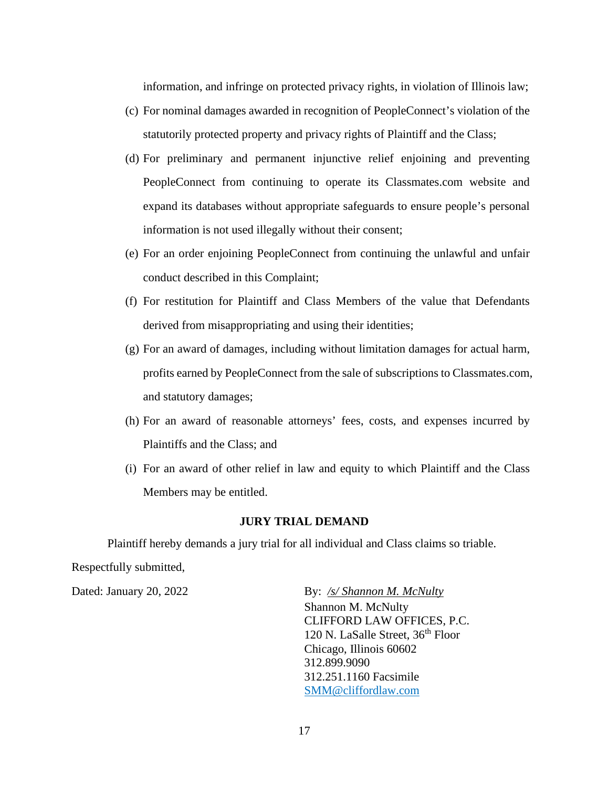information, and infringe on protected privacy rights, in violation of Illinois law;

- (c) For nominal damages awarded in recognition of PeopleConnect's violation of the statutorily protected property and privacy rights of Plaintiff and the Class;
- (d) For preliminary and permanent injunctive relief enjoining and preventing PeopleConnect from continuing to operate its Classmates.com website and expand its databases without appropriate safeguards to ensure people's personal information is not used illegally without their consent;
- (e) For an order enjoining PeopleConnect from continuing the unlawful and unfair conduct described in this Complaint;
- (f) For restitution for Plaintiff and Class Members of the value that Defendants derived from misappropriating and using their identities;
- (g) For an award of damages, including without limitation damages for actual harm, profits earned by PeopleConnect from the sale of subscriptions to Classmates.com, and statutory damages;
- (h) For an award of reasonable attorneys' fees, costs, and expenses incurred by Plaintiffs and the Class; and
- (i) For an award of other relief in law and equity to which Plaintiff and the Class Members may be entitled.

## **JURY TRIAL DEMAND**

Plaintiff hereby demands a jury trial for all individual and Class claims so triable. Respectfully submitted,

Dated: January 20, 2022 By: /s/ Shannon M. McNulty

Shannon M. McNulty CLIFFORD LAW OFFICES, P.C. 120 N. LaSalle Street, 36<sup>th</sup> Floor Chicago, Illinois 60602 312.899.9090 312.251.1160 Facsimile SMM@cliffordlaw.com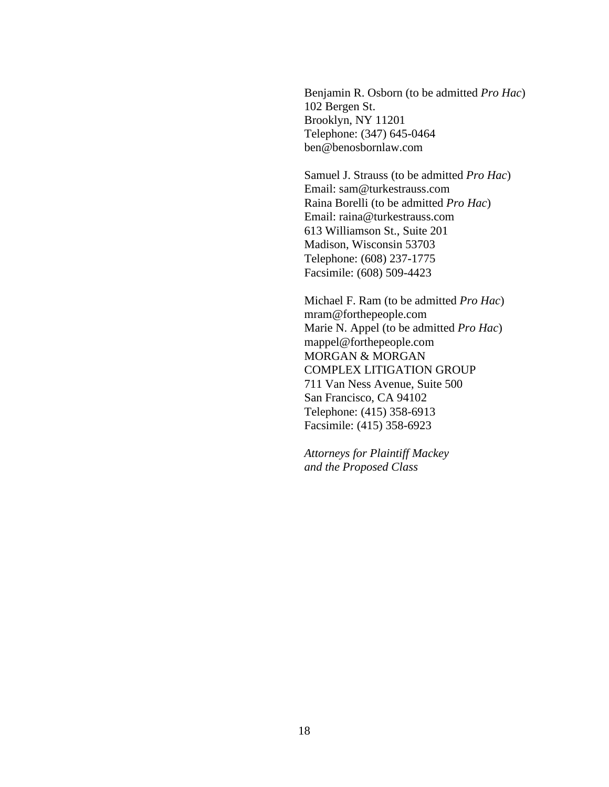Benjamin R. Osborn (to be admitted *Pro Hac*) 102 Bergen St. Brooklyn, NY 11201 Telephone: (347) 645-0464 ben@benosbornlaw.com

Samuel J. Strauss (to be admitted *Pro Hac*) Email: sam@turkestrauss.com Raina Borelli (to be admitted *Pro Hac*) Email: raina@turkestrauss.com 613 Williamson St., Suite 201 Madison, Wisconsin 53703 Telephone: (608) 237-1775 Facsimile: (608) 509-4423

Michael F. Ram (to be admitted *Pro Hac*) mram@forthepeople.com Marie N. Appel (to be admitted *Pro Hac*) mappel@forthepeople.com MORGAN & MORGAN COMPLEX LITIGATION GROUP 711 Van Ness Avenue, Suite 500 San Francisco, CA 94102 Telephone: (415) 358-6913 Facsimile: (415) 358-6923

*Attorneys for Plaintiff Mackey and the Proposed Class*